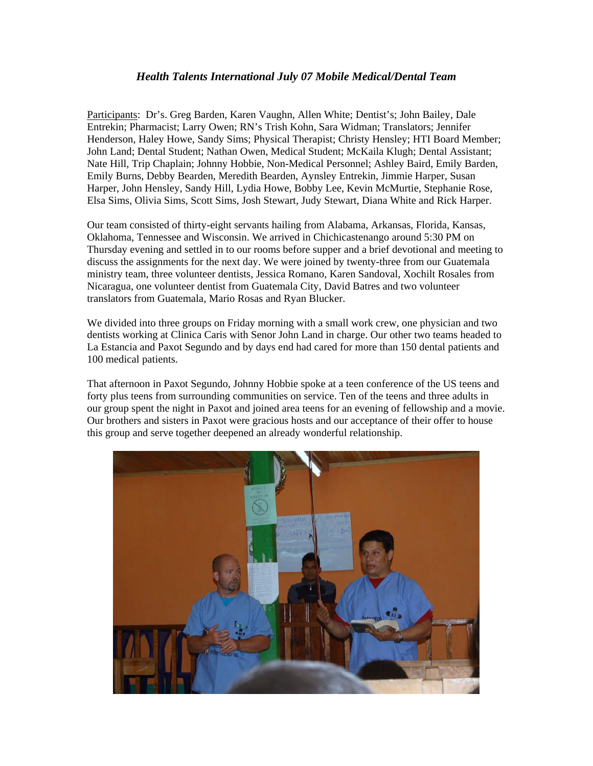## *Health Talents International July 07 Mobile Medical/Dental Team*

Participants: Dr's. Greg Barden, Karen Vaughn, Allen White; Dentist's; John Bailey, Dale Entrekin; Pharmacist; Larry Owen; RN's Trish Kohn, Sara Widman; Translators; Jennifer Henderson, Haley Howe, Sandy Sims; Physical Therapist; Christy Hensley; HTI Board Member; John Land; Dental Student; Nathan Owen, Medical Student; McKaila Klugh; Dental Assistant; Nate Hill, Trip Chaplain; Johnny Hobbie, Non-Medical Personnel; Ashley Baird, Emily Barden, Emily Burns, Debby Bearden, Meredith Bearden, Aynsley Entrekin, Jimmie Harper, Susan Harper, John Hensley, Sandy Hill, Lydia Howe, Bobby Lee, Kevin McMurtie, Stephanie Rose, Elsa Sims, Olivia Sims, Scott Sims, Josh Stewart, Judy Stewart, Diana White and Rick Harper.

Our team consisted of thirty-eight servants hailing from Alabama, Arkansas, Florida, Kansas, Oklahoma, Tennessee and Wisconsin. We arrived in Chichicastenango around 5:30 PM on Thursday evening and settled in to our rooms before supper and a brief devotional and meeting to discuss the assignments for the next day. We were joined by twenty-three from our Guatemala ministry team, three volunteer dentists, Jessica Romano, Karen Sandoval, Xochilt Rosales from Nicaragua, one volunteer dentist from Guatemala City, David Batres and two volunteer translators from Guatemala, Mario Rosas and Ryan Blucker.

We divided into three groups on Friday morning with a small work crew, one physician and two dentists working at Clinica Caris with Senor John Land in charge. Our other two teams headed to La Estancia and Paxot Segundo and by days end had cared for more than 150 dental patients and 100 medical patients.

That afternoon in Paxot Segundo, Johnny Hobbie spoke at a teen conference of the US teens and forty plus teens from surrounding communities on service. Ten of the teens and three adults in our group spent the night in Paxot and joined area teens for an evening of fellowship and a movie. Our brothers and sisters in Paxot were gracious hosts and our acceptance of their offer to house this group and serve together deepened an already wonderful relationship.

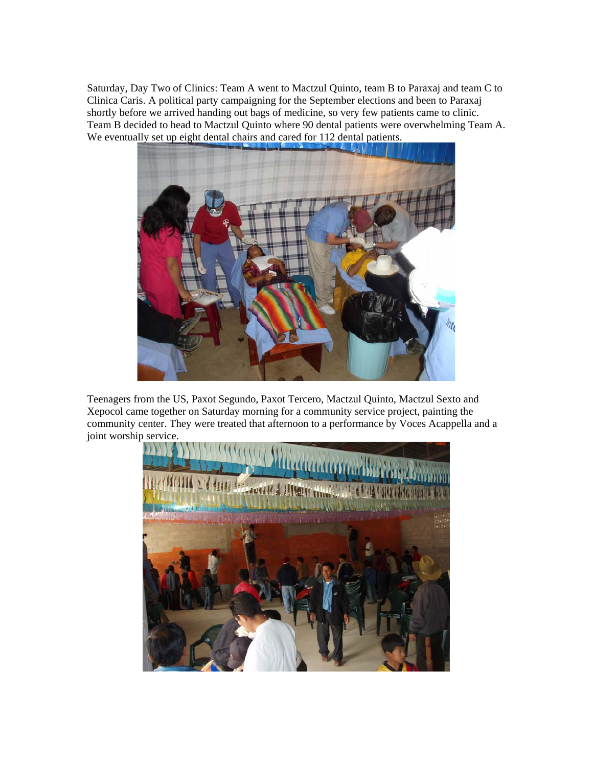Saturday, Day Two of Clinics: Team A went to Mactzul Quinto, team B to Paraxaj and team C to Clinica Caris. A political party campaigning for the September elections and been to Paraxaj shortly before we arrived handing out bags of medicine, so very few patients came to clinic. Team B decided to head to Mactzul Quinto where 90 dental patients were overwhelming Team A. We eventually set up eight dental chairs and cared for 112 dental patients.



Teenagers from the US, Paxot Segundo, Paxot Tercero, Mactzul Quinto, Mactzul Sexto and Xepocol came together on Saturday morning for a community service project, painting the community center. They were treated that afternoon to a performance by Voces Acappella and a joint worship service.

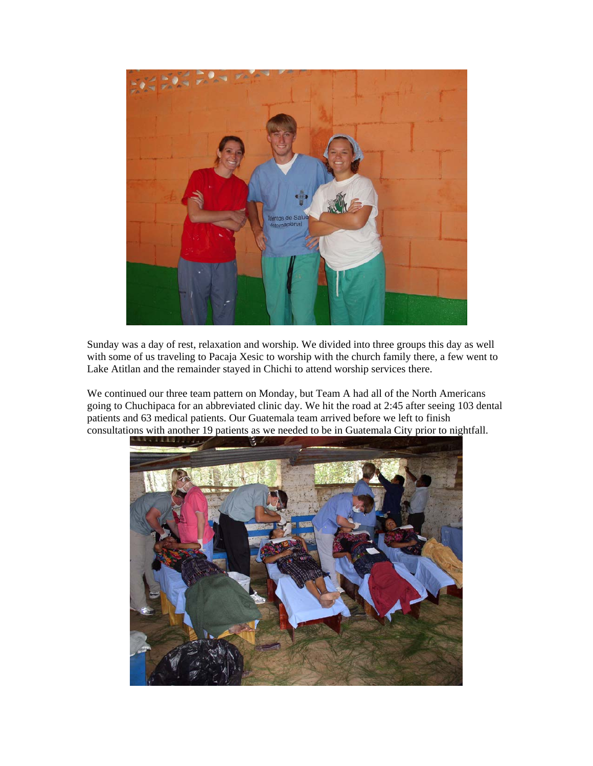

Sunday was a day of rest, relaxation and worship. We divided into three groups this day as well with some of us traveling to Pacaja Xesic to worship with the church family there, a few went to Lake Atitlan and the remainder stayed in Chichi to attend worship services there.

We continued our three team pattern on Monday, but Team A had all of the North Americans going to Chuchipaca for an abbreviated clinic day. We hit the road at 2:45 after seeing 103 dental patients and 63 medical patients. Our Guatemala team arrived before we left to finish consultations with another 19 patients as we needed to be in Guatemala City prior to nightfall.